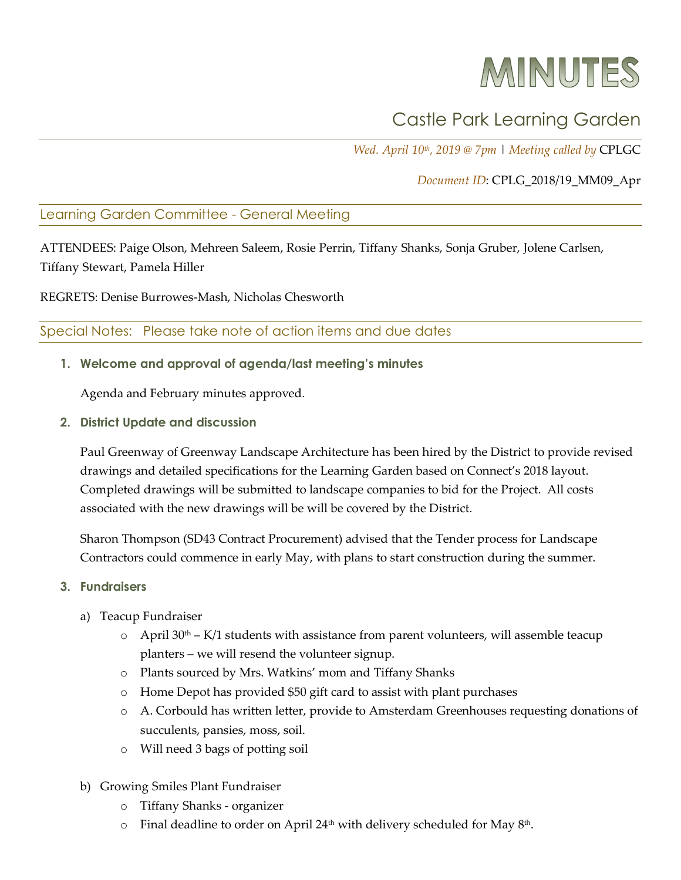# MINUTES

# Castle Park Learning Garden

*Wed. April 10th, 2019 @ 7pm* | *Meeting called by* CPLGC

## *Document ID*: CPLG\_2018/19\_MM09\_Apr

## Learning Garden Committee - General Meeting

ATTENDEES: Paige Olson, Mehreen Saleem, Rosie Perrin, Tiffany Shanks, Sonja Gruber, Jolene Carlsen, Tiffany Stewart, Pamela Hiller

REGRETS: Denise Burrowes-Mash, Nicholas Chesworth

Special Notes: Please take note of action items and due dates

**1. Welcome and approval of agenda/last meeting's minutes**

Agenda and February minutes approved.

**2. District Update and discussion**

Paul Greenway of Greenway Landscape Architecture has been hired by the District to provide revised drawings and detailed specifications for the Learning Garden based on Connect's 2018 layout. Completed drawings will be submitted to landscape companies to bid for the Project. All costs associated with the new drawings will be will be covered by the District.

Sharon Thompson (SD43 Contract Procurement) advised that the Tender process for Landscape Contractors could commence in early May, with plans to start construction during the summer.

#### **3. Fundraisers**

- a) Teacup Fundraiser
	- $\circ$  April 30<sup>th</sup> K/1 students with assistance from parent volunteers, will assemble teacup planters – we will resend the volunteer signup.
	- o Plants sourced by Mrs. Watkins' mom and Tiffany Shanks
	- o Home Depot has provided \$50 gift card to assist with plant purchases
	- o A. Corbould has written letter, provide to Amsterdam Greenhouses requesting donations of succulents, pansies, moss, soil.
	- o Will need 3 bags of potting soil
- b) Growing Smiles Plant Fundraiser
	- o Tiffany Shanks organizer
	- $\circ$  Final deadline to order on April 24<sup>th</sup> with delivery scheduled for May 8<sup>th</sup>.